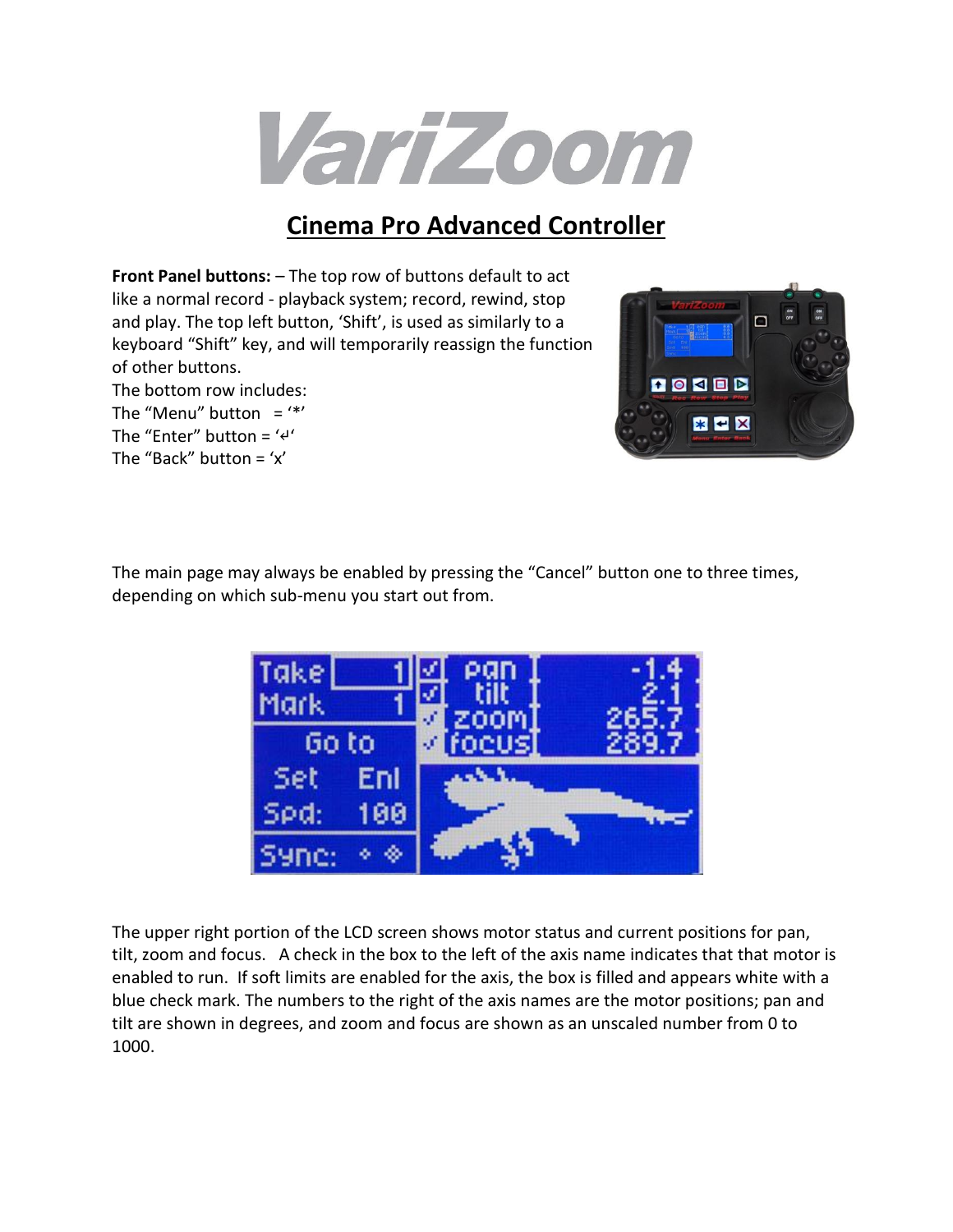

### **Cinema Pro Advanced Controller**

**Front Panel buttons:** – The top row of buttons default to act like a normal record - playback system; record, rewind, stop and play. The top left button, 'Shift', is used as similarly to a keyboard "Shift" key, and will temporarily reassign the function of other buttons.

The bottom row includes:

The "Menu" button  $=$  '\*'

The "Enter" button =  $44'$ The "Back" button =  $x'$ 



The main page may always be enabled by pressing the "Cancel" button one to three times, depending on which sub-menu you start out from.



The upper right portion of the LCD screen shows motor status and current positions for pan, tilt, zoom and focus. A check in the box to the left of the axis name indicates that that motor is enabled to run. If soft limits are enabled for the axis, the box is filled and appears white with a blue check mark. The numbers to the right of the axis names are the motor positions; pan and tilt are shown in degrees, and zoom and focus are shown as an unscaled number from 0 to 1000.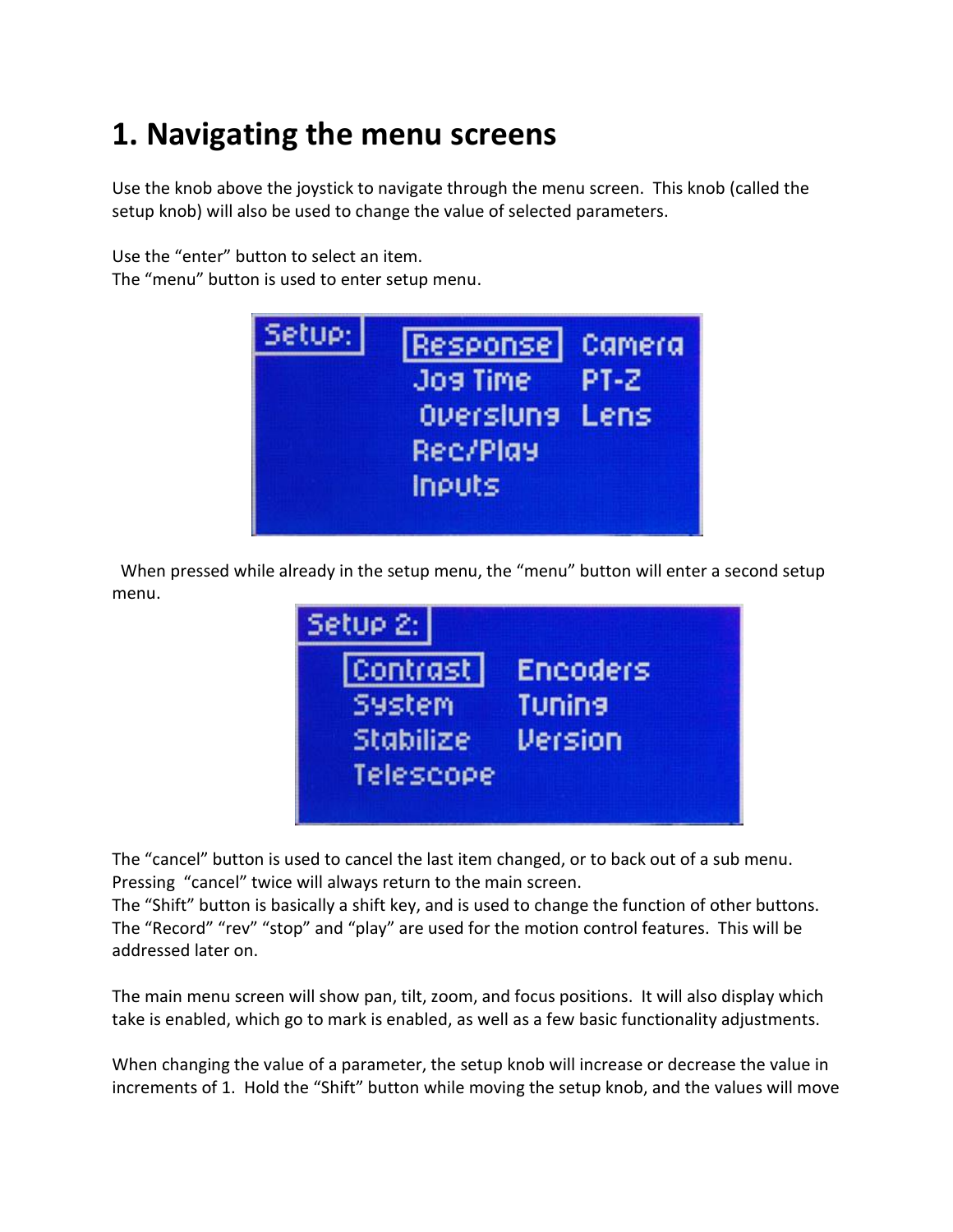# **1. Navigating the menu screens**

Use the knob above the joystick to navigate through the menu screen. This knob (called the setup knob) will also be used to change the value of selected parameters.

Use the "enter" button to select an item.

The "menu" button is used to enter setup menu.



 When pressed while already in the setup menu, the "menu" button will enter a second setup menu.



The "cancel" button is used to cancel the last item changed, or to back out of a sub menu. Pressing "cancel" twice will always return to the main screen.

The "Shift" button is basically a shift key, and is used to change the function of other buttons. The "Record" "rev" "stop" and "play" are used for the motion control features. This will be addressed later on.

The main menu screen will show pan, tilt, zoom, and focus positions. It will also display which take is enabled, which go to mark is enabled, as well as a few basic functionality adjustments.

When changing the value of a parameter, the setup knob will increase or decrease the value in increments of 1. Hold the "Shift" button while moving the setup knob, and the values will move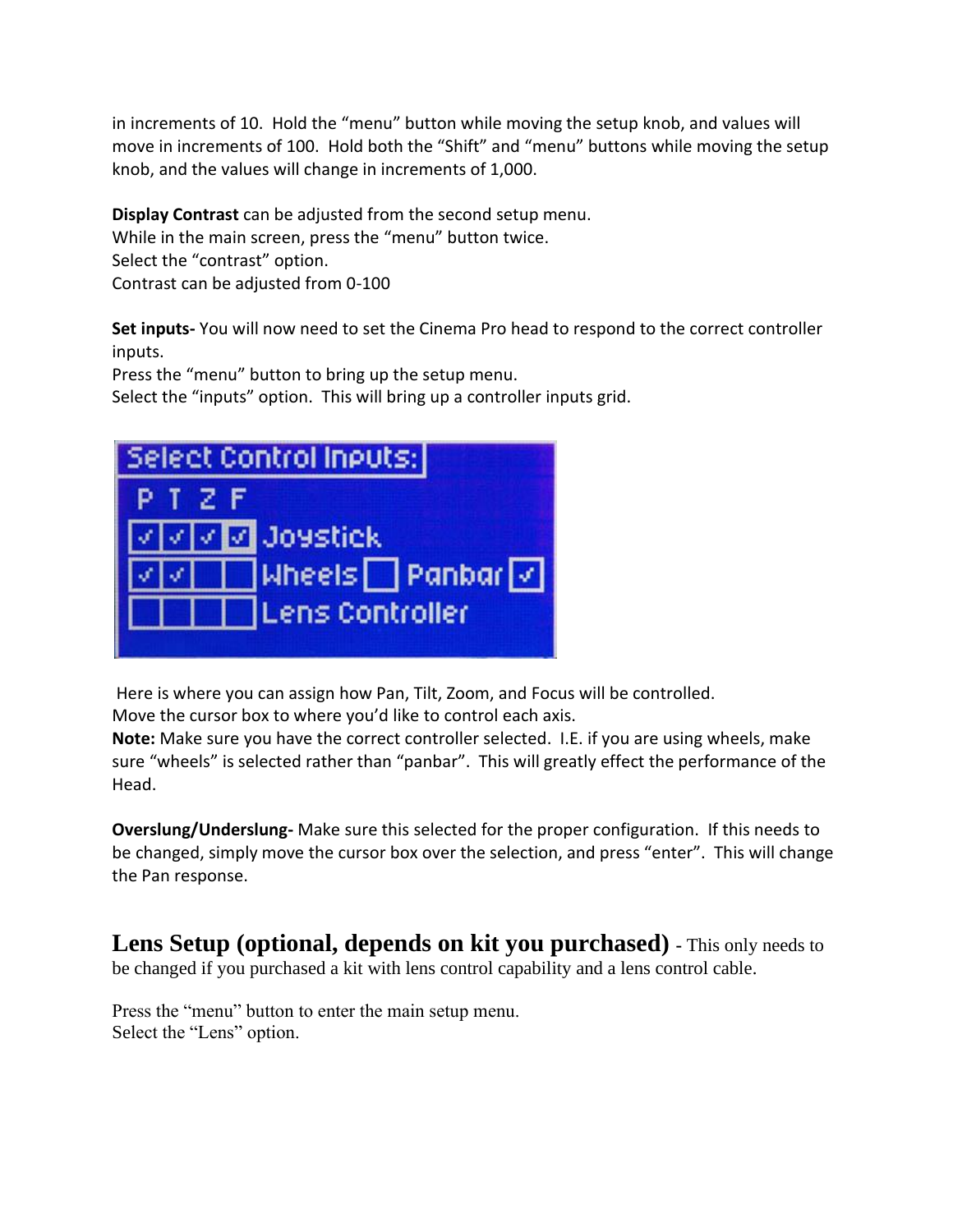in increments of 10. Hold the "menu" button while moving the setup knob, and values will move in increments of 100. Hold both the "Shift" and "menu" buttons while moving the setup knob, and the values will change in increments of 1,000.

**Display Contrast** can be adjusted from the second setup menu. While in the main screen, press the "menu" button twice. Select the "contrast" option. Contrast can be adjusted from 0-100

**Set inputs-** You will now need to set the Cinema Pro head to respond to the correct controller inputs.

Press the "menu" button to bring up the setup menu.

Select the "inputs" option. This will bring up a controller inputs grid.



Here is where you can assign how Pan, Tilt, Zoom, and Focus will be controlled.

Move the cursor box to where you'd like to control each axis.

**Note:** Make sure you have the correct controller selected. I.E. if you are using wheels, make sure "wheels" is selected rather than "panbar". This will greatly effect the performance of the Head.

**Overslung/Underslung-** Make sure this selected for the proper configuration. If this needs to be changed, simply move the cursor box over the selection, and press "enter". This will change the Pan response.

**Lens Setup (optional, depends on kit you purchased) -** This only needs to be changed if you purchased a kit with lens control capability and a lens control cable.

Press the "menu" button to enter the main setup menu. Select the "Lens" option.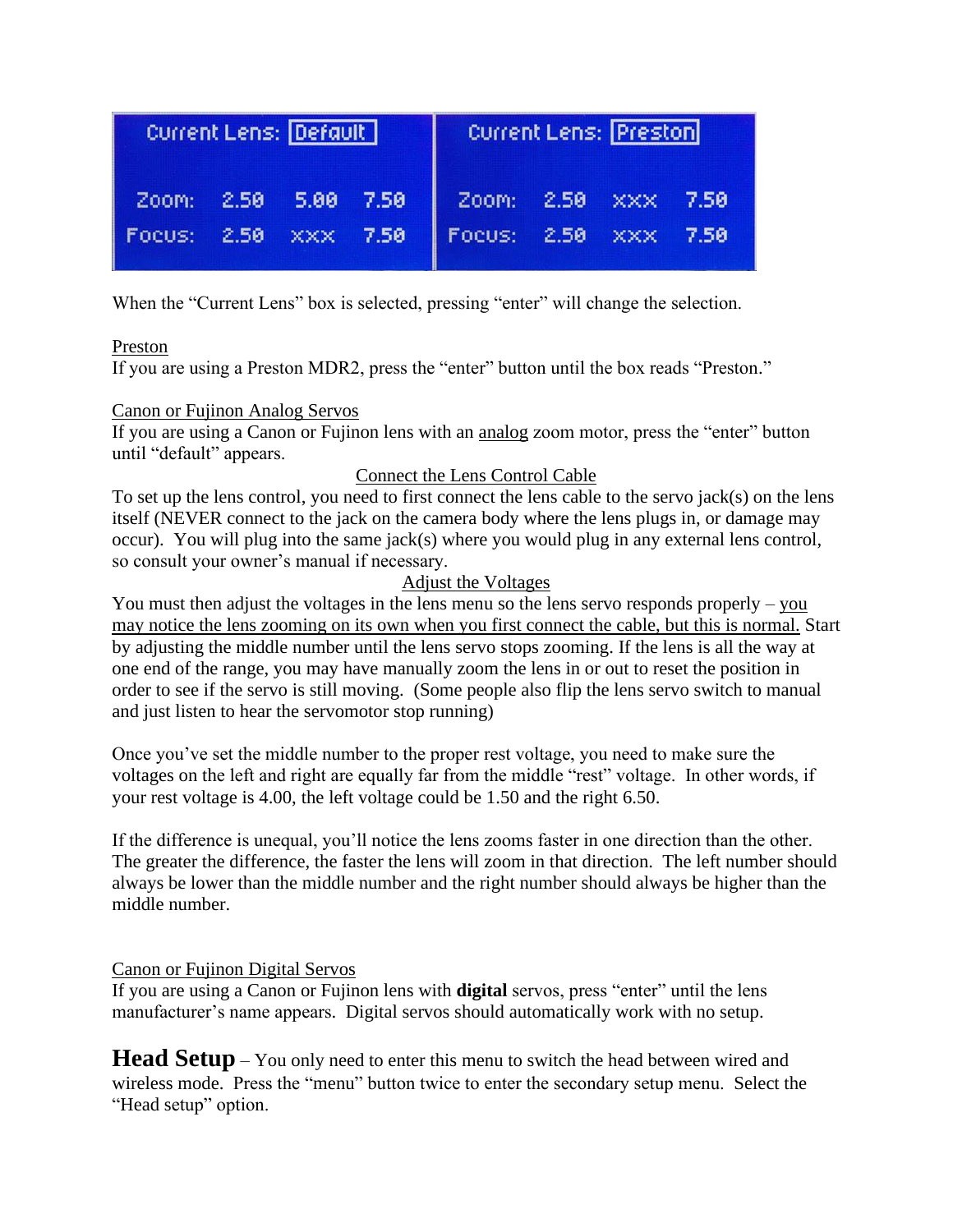| Current Lens: Default |  |            | <b>Current Lens: Preston</b> |                      |  |  |  |
|-----------------------|--|------------|------------------------------|----------------------|--|--|--|
| Zoom: 2.50 5.80 7.50  |  |            |                              | Zoom: 2.50 XXX 7.50  |  |  |  |
| Focus: 2.50           |  | <b>XXX</b> | 7.50                         | Focus: 2.50 XXX 7.50 |  |  |  |

When the "Current Lens" box is selected, pressing "enter" will change the selection.

#### Preston

If you are using a Preston MDR2, press the "enter" button until the box reads "Preston."

#### Canon or Fujinon Analog Servos

If you are using a Canon or Fujinon lens with an analog zoom motor, press the "enter" button until "default" appears.

### Connect the Lens Control Cable

To set up the lens control, you need to first connect the lens cable to the servo jack(s) on the lens itself (NEVER connect to the jack on the camera body where the lens plugs in, or damage may occur). You will plug into the same jack(s) where you would plug in any external lens control, so consult your owner's manual if necessary.

### Adjust the Voltages

You must then adjust the voltages in the lens menu so the lens servo responds properly – you may notice the lens zooming on its own when you first connect the cable, but this is normal. Start by adjusting the middle number until the lens servo stops zooming. If the lens is all the way at one end of the range, you may have manually zoom the lens in or out to reset the position in order to see if the servo is still moving. (Some people also flip the lens servo switch to manual and just listen to hear the servomotor stop running)

Once you've set the middle number to the proper rest voltage, you need to make sure the voltages on the left and right are equally far from the middle "rest" voltage. In other words, if your rest voltage is 4.00, the left voltage could be 1.50 and the right 6.50.

If the difference is unequal, you'll notice the lens zooms faster in one direction than the other. The greater the difference, the faster the lens will zoom in that direction. The left number should always be lower than the middle number and the right number should always be higher than the middle number.

#### Canon or Fujinon Digital Servos

If you are using a Canon or Fujinon lens with **digital** servos, press "enter" until the lens manufacturer's name appears. Digital servos should automatically work with no setup.

**Head Setup** – You only need to enter this menu to switch the head between wired and wireless mode. Press the "menu" button twice to enter the secondary setup menu. Select the "Head setup" option.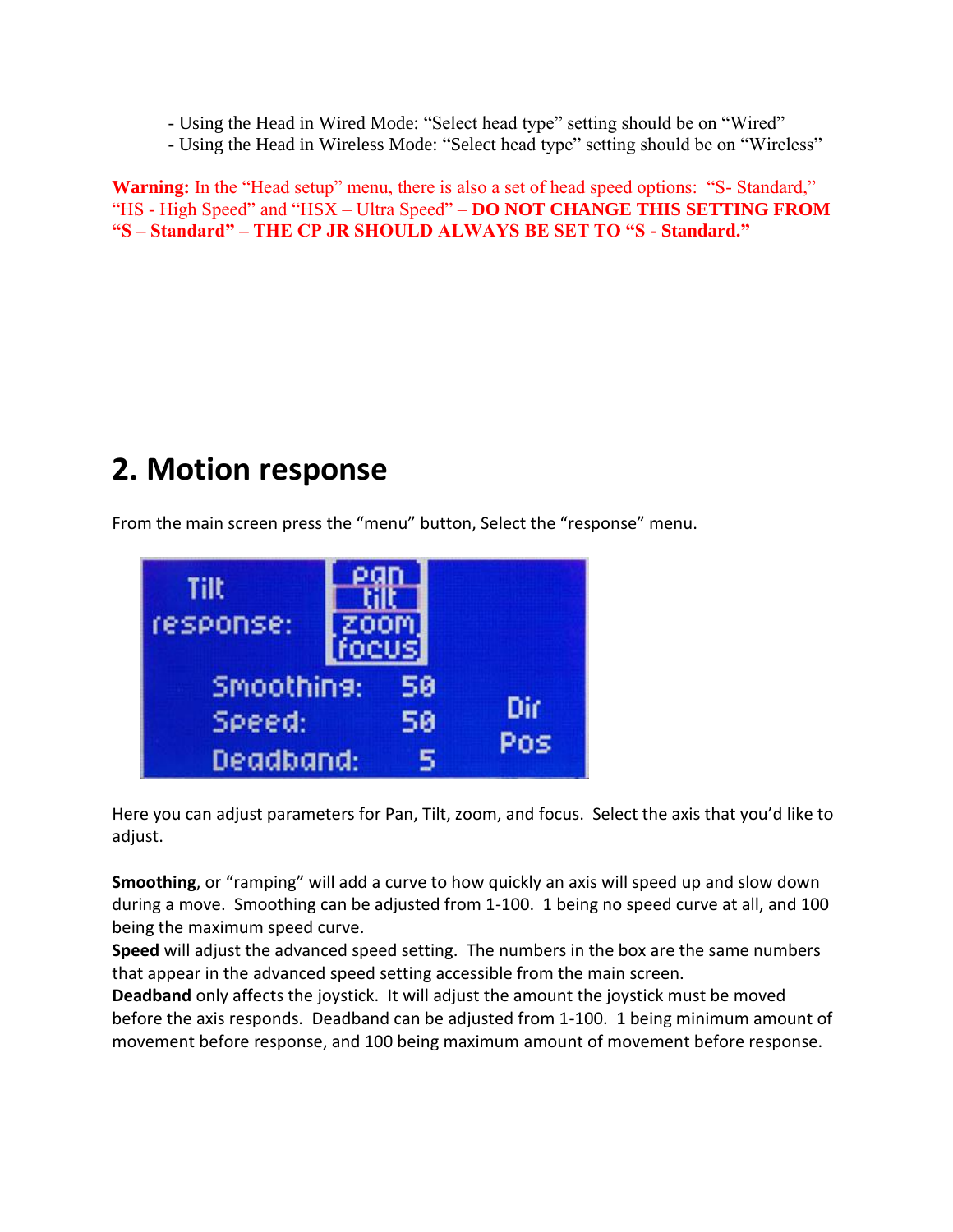- Using the Head in Wired Mode: "Select head type" setting should be on "Wired"
- Using the Head in Wireless Mode: "Select head type" setting should be on "Wireless"

**Warning:** In the "Head setup" menu, there is also a set of head speed options: "S- Standard," "HS - High Speed" and "HSX – Ultra Speed" – **DO NOT CHANGE THIS SETTING FROM "S – Standard" – THE CP JR SHOULD ALWAYS BE SET TO "S - Standard."**

### **2. Motion response**

From the main screen press the "menu" button, Select the "response" menu.



Here you can adjust parameters for Pan, Tilt, zoom, and focus. Select the axis that you'd like to adjust.

**Smoothing**, or "ramping" will add a curve to how quickly an axis will speed up and slow down during a move. Smoothing can be adjusted from 1-100. 1 being no speed curve at all, and 100 being the maximum speed curve.

**Speed** will adjust the advanced speed setting. The numbers in the box are the same numbers that appear in the advanced speed setting accessible from the main screen.

**Deadband** only affects the joystick. It will adjust the amount the joystick must be moved before the axis responds. Deadband can be adjusted from 1-100. 1 being minimum amount of movement before response, and 100 being maximum amount of movement before response.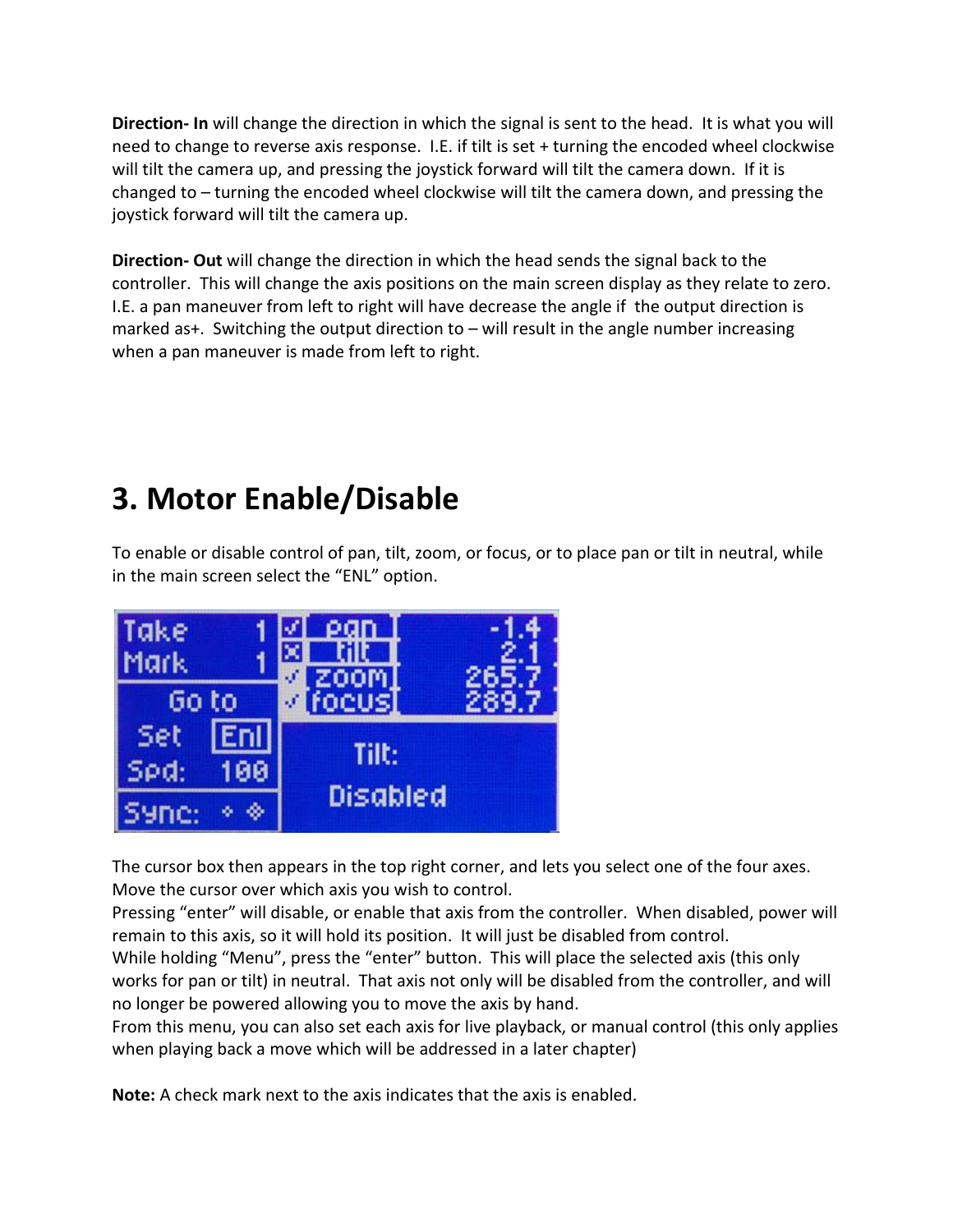**Direction- In** will change the direction in which the signal is sent to the head. It is what you will need to change to reverse axis response. I.E. if tilt is set + turning the encoded wheel clockwise will tilt the camera up, and pressing the joystick forward will tilt the camera down. If it is changed to – turning the encoded wheel clockwise will tilt the camera down, and pressing the joystick forward will tilt the camera up.

**Direction- Out** will change the direction in which the head sends the signal back to the controller. This will change the axis positions on the main screen display as they relate to zero. I.E. a pan maneuver from left to right will have decrease the angle if the output direction is marked as+. Switching the output direction to – will result in the angle number increasing when a pan maneuver is made from left to right.

### **3. Motor Enable/Disable**

To enable or disable control of pan, tilt, zoom, or focus, or to place pan or tilt in neutral, while in the main screen select the "ENL" option.



The cursor box then appears in the top right corner, and lets you select one of the four axes. Move the cursor over which axis you wish to control.

Pressing "enter" will disable, or enable that axis from the controller. When disabled, power will remain to this axis, so it will hold its position. It will just be disabled from control.

While holding "Menu", press the "enter" button. This will place the selected axis (this only works for pan or tilt) in neutral. That axis not only will be disabled from the controller, and will no longer be powered allowing you to move the axis by hand.

From this menu, you can also set each axis for live playback, or manual control (this only applies when playing back a move which will be addressed in a later chapter)

**Note:** A check mark next to the axis indicates that the axis is enabled.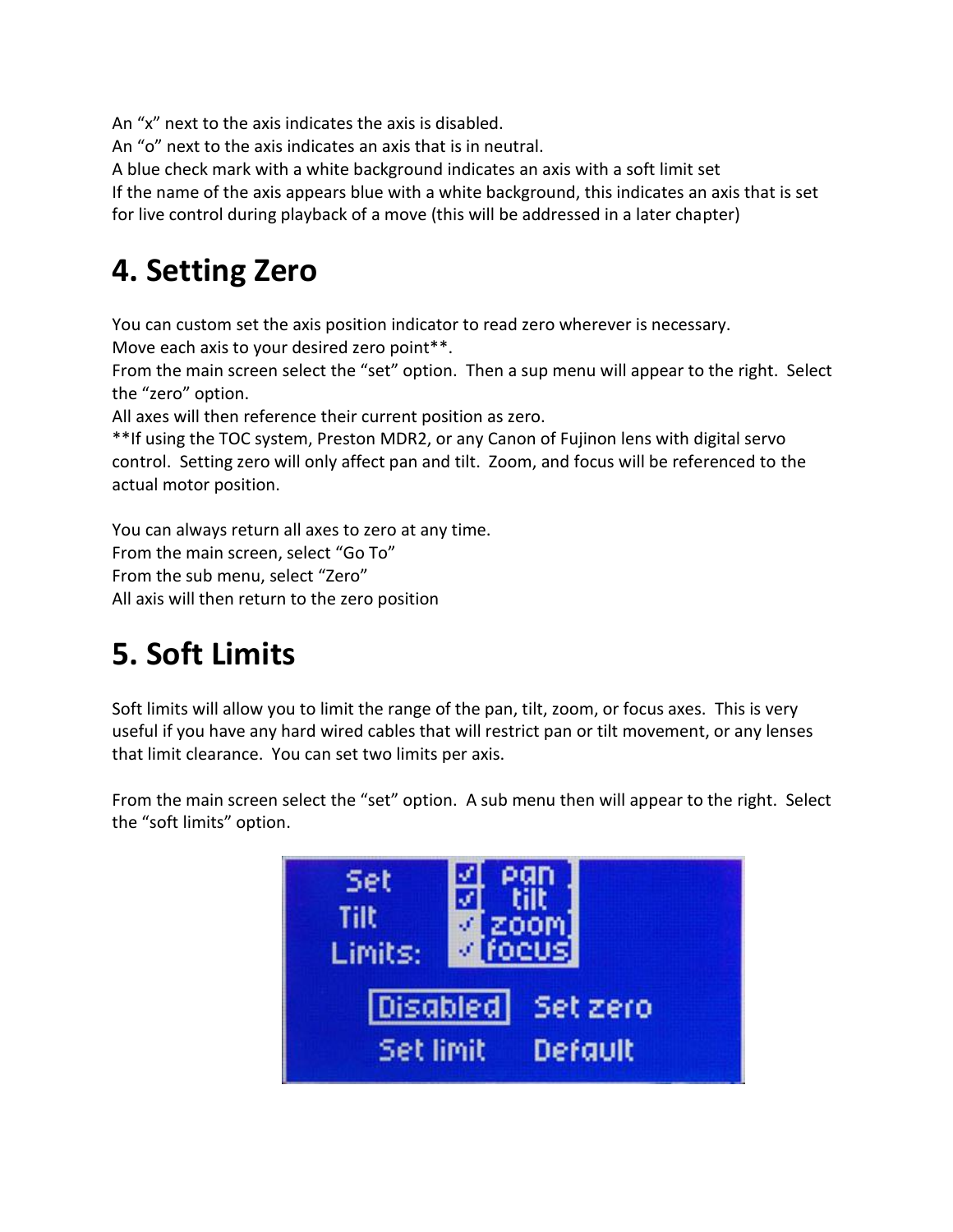An "x" next to the axis indicates the axis is disabled.

An "o" next to the axis indicates an axis that is in neutral.

A blue check mark with a white background indicates an axis with a soft limit set

If the name of the axis appears blue with a white background, this indicates an axis that is set

for live control during playback of a move (this will be addressed in a later chapter)

### **4. Setting Zero**

You can custom set the axis position indicator to read zero wherever is necessary. Move each axis to your desired zero point\*\*.

From the main screen select the "set" option. Then a sup menu will appear to the right. Select the "zero" option.

All axes will then reference their current position as zero.

\*\*If using the TOC system, Preston MDR2, or any Canon of Fujinon lens with digital servo control. Setting zero will only affect pan and tilt. Zoom, and focus will be referenced to the actual motor position.

You can always return all axes to zero at any time.

From the main screen, select "Go To"

From the sub menu, select "Zero"

All axis will then return to the zero position

### **5. Soft Limits**

Soft limits will allow you to limit the range of the pan, tilt, zoom, or focus axes. This is very useful if you have any hard wired cables that will restrict pan or tilt movement, or any lenses that limit clearance. You can set two limits per axis.

From the main screen select the "set" option. A sub menu then will appear to the right. Select the "soft limits" option.

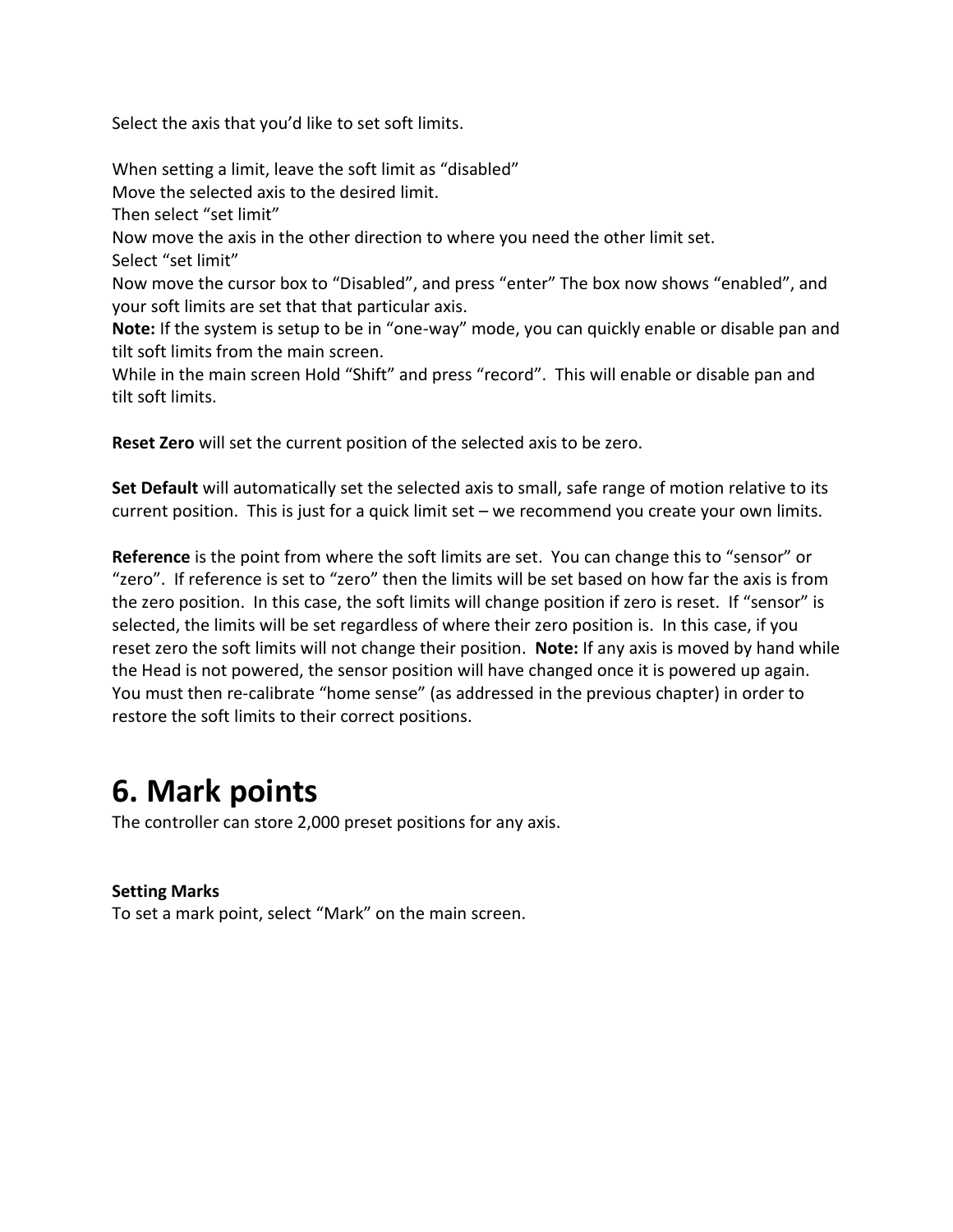Select the axis that you'd like to set soft limits.

When setting a limit, leave the soft limit as "disabled" Move the selected axis to the desired limit. Then select "set limit" Now move the axis in the other direction to where you need the other limit set. Select "set limit" Now move the cursor box to "Disabled", and press "enter" The box now shows "enabled", and your soft limits are set that that particular axis. **Note:** If the system is setup to be in "one-way" mode, you can quickly enable or disable pan and tilt soft limits from the main screen. While in the main screen Hold "Shift" and press "record". This will enable or disable pan and tilt soft limits.

**Reset Zero** will set the current position of the selected axis to be zero.

**Set Default** will automatically set the selected axis to small, safe range of motion relative to its current position. This is just for a quick limit set – we recommend you create your own limits.

**Reference** is the point from where the soft limits are set. You can change this to "sensor" or "zero". If reference is set to "zero" then the limits will be set based on how far the axis is from the zero position. In this case, the soft limits will change position if zero is reset. If "sensor" is selected, the limits will be set regardless of where their zero position is. In this case, if you reset zero the soft limits will not change their position. **Note:** If any axis is moved by hand while the Head is not powered, the sensor position will have changed once it is powered up again. You must then re-calibrate "home sense" (as addressed in the previous chapter) in order to restore the soft limits to their correct positions.

### **6. Mark points**

The controller can store 2,000 preset positions for any axis.

#### **Setting Marks**

To set a mark point, select "Mark" on the main screen.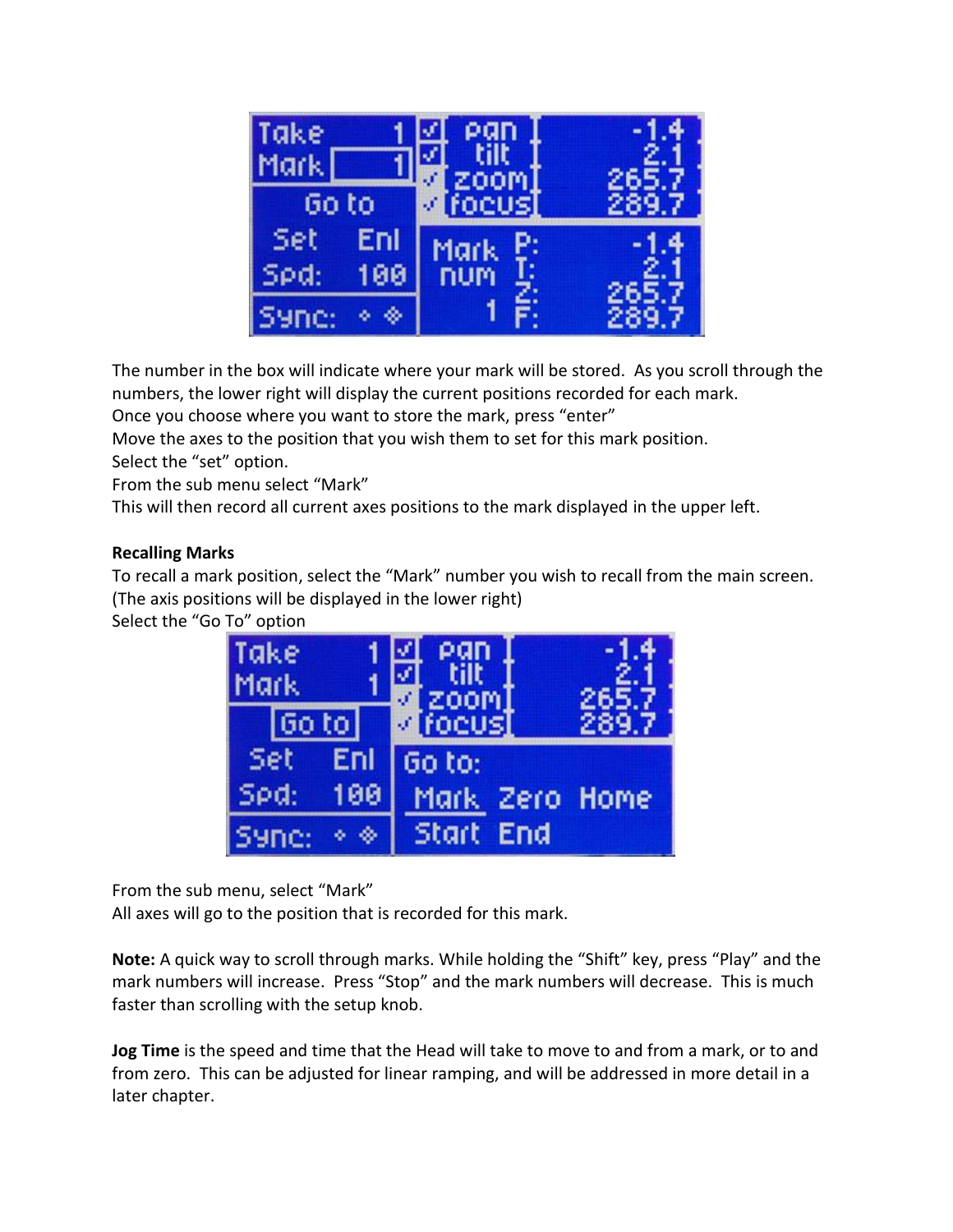| Take<br>Mark. |             |  |
|---------------|-------------|--|
| бo<br>to      | focus       |  |
| Set<br>Enl    | <b>Mark</b> |  |
| Spd:<br>00    | num         |  |
| Syne:         |             |  |

The number in the box will indicate where your mark will be stored. As you scroll through the numbers, the lower right will display the current positions recorded for each mark.

Once you choose where you want to store the mark, press "enter"

Move the axes to the position that you wish them to set for this mark position.

Select the "set" option.

From the sub menu select "Mark"

This will then record all current axes positions to the mark displayed in the upper left.

#### **Recalling Marks**

To recall a mark position, select the "Mark" number you wish to recall from the main screen. (The axis positions will be displayed in the lower right)

Select the "Go To" option



From the sub menu, select "Mark"

All axes will go to the position that is recorded for this mark.

**Note:** A quick way to scroll through marks. While holding the "Shift" key, press "Play" and the mark numbers will increase. Press "Stop" and the mark numbers will decrease. This is much faster than scrolling with the setup knob.

**Jog Time** is the speed and time that the Head will take to move to and from a mark, or to and from zero. This can be adjusted for linear ramping, and will be addressed in more detail in a later chapter.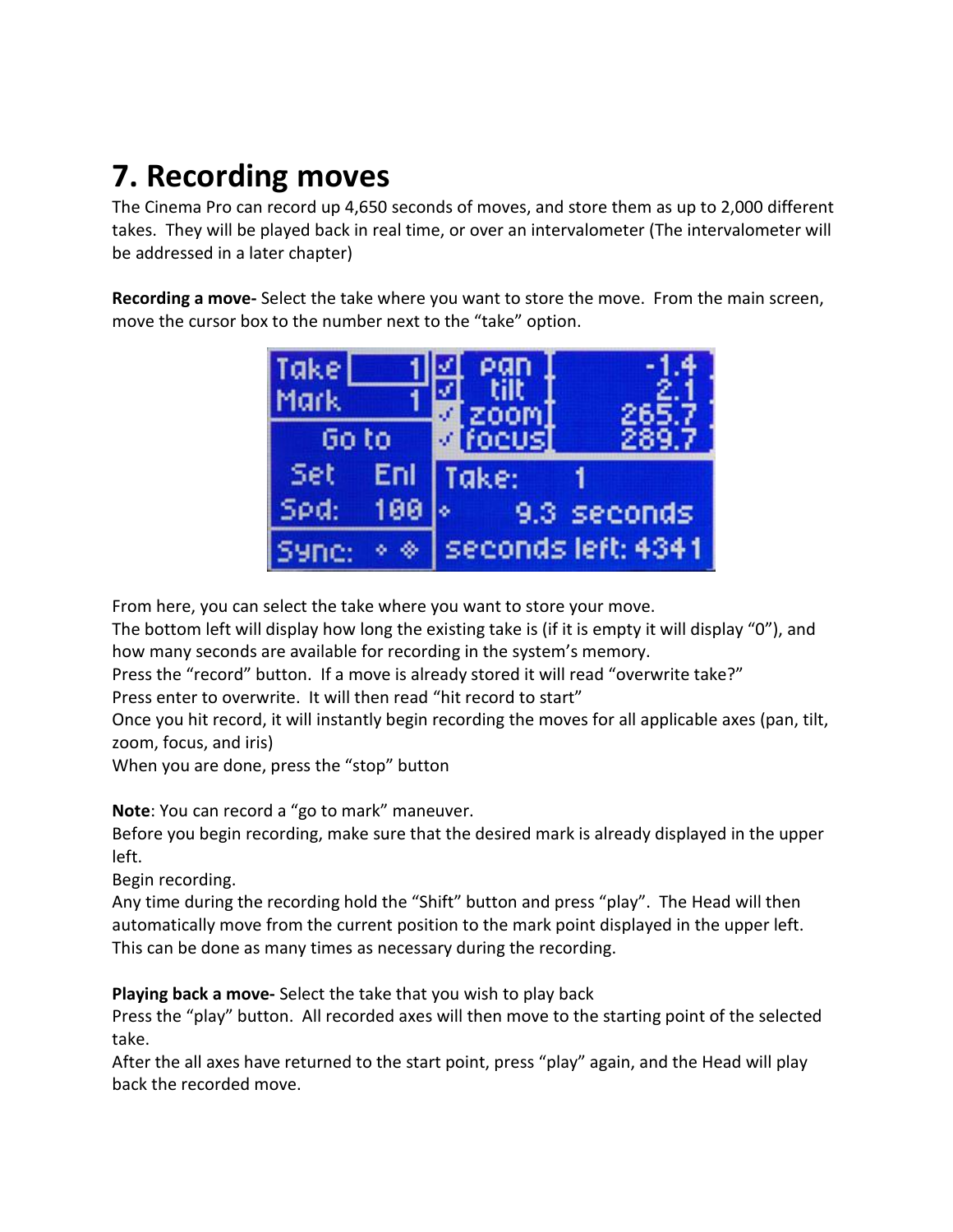# **7. Recording moves**

The Cinema Pro can record up 4,650 seconds of moves, and store them as up to 2,000 different takes. They will be played back in real time, or over an intervalometer (The intervalometer will be addressed in a later chapter)

**Recording a move-** Select the take where you want to store the move. From the main screen, move the cursor box to the number next to the "take" option.



From here, you can select the take where you want to store your move.

The bottom left will display how long the existing take is (if it is empty it will display "0"), and how many seconds are available for recording in the system's memory.

Press the "record" button. If a move is already stored it will read "overwrite take?"

Press enter to overwrite. It will then read "hit record to start"

Once you hit record, it will instantly begin recording the moves for all applicable axes (pan, tilt, zoom, focus, and iris)

When you are done, press the "stop" button

**Note**: You can record a "go to mark" maneuver.

Before you begin recording, make sure that the desired mark is already displayed in the upper left.

Begin recording.

Any time during the recording hold the "Shift" button and press "play". The Head will then automatically move from the current position to the mark point displayed in the upper left. This can be done as many times as necessary during the recording.

**Playing back a move-** Select the take that you wish to play back

Press the "play" button. All recorded axes will then move to the starting point of the selected take.

After the all axes have returned to the start point, press "play" again, and the Head will play back the recorded move.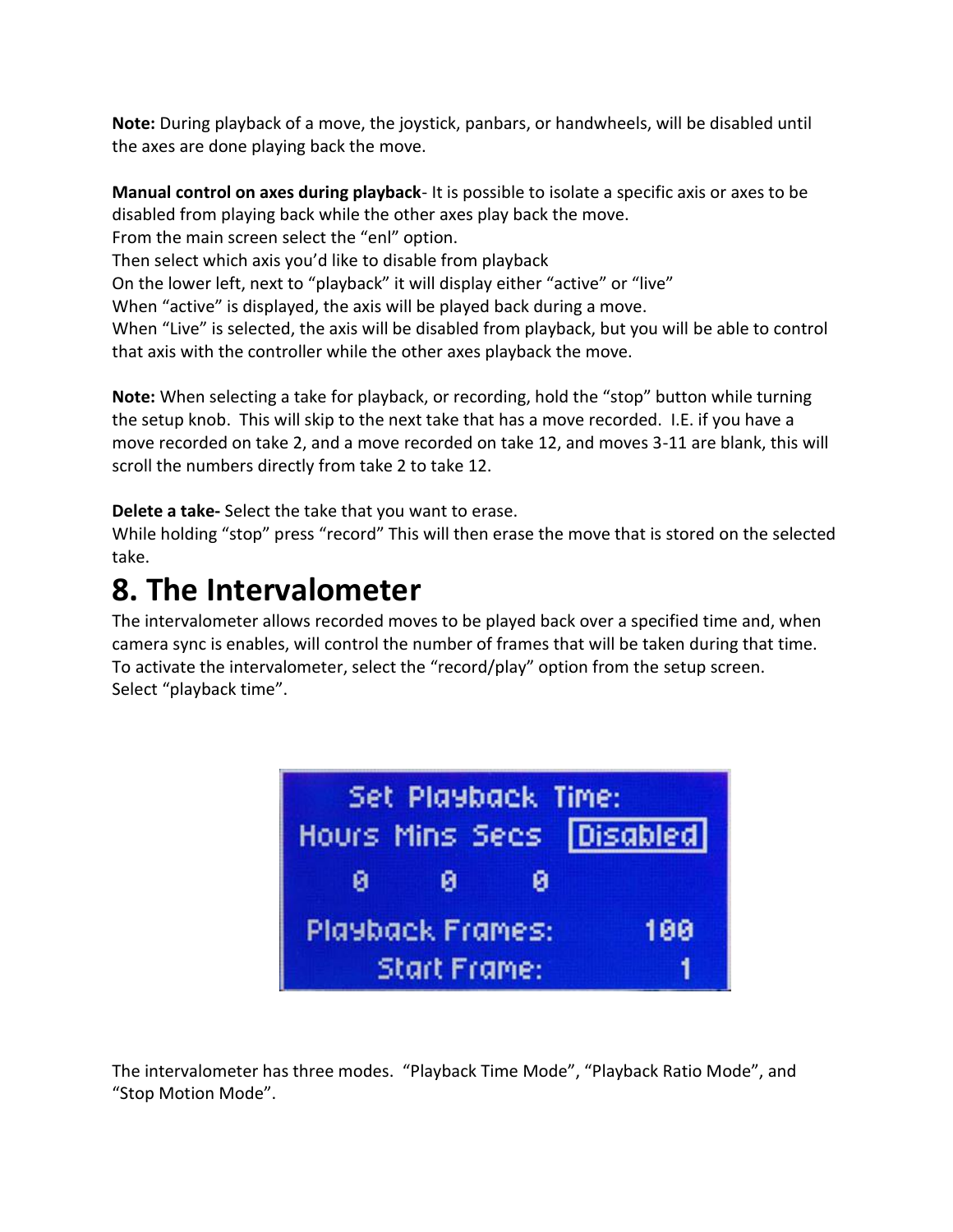**Note:** During playback of a move, the joystick, panbars, or handwheels, will be disabled until the axes are done playing back the move.

**Manual control on axes during playback**- It is possible to isolate a specific axis or axes to be disabled from playing back while the other axes play back the move. From the main screen select the "enl" option.

Then select which axis you'd like to disable from playback

On the lower left, next to "playback" it will display either "active" or "live"

When "active" is displayed, the axis will be played back during a move.

When "Live" is selected, the axis will be disabled from playback, but you will be able to control that axis with the controller while the other axes playback the move.

**Note:** When selecting a take for playback, or recording, hold the "stop" button while turning the setup knob. This will skip to the next take that has a move recorded. I.E. if you have a move recorded on take 2, and a move recorded on take 12, and moves 3-11 are blank, this will scroll the numbers directly from take 2 to take 12.

**Delete a take-** Select the take that you want to erase.

While holding "stop" press "record" This will then erase the move that is stored on the selected take.

### **8. The Intervalometer**

The intervalometer allows recorded moves to be played back over a specified time and, when camera sync is enables, will control the number of frames that will be taken during that time. To activate the intervalometer, select the "record/play" option from the setup screen. Select "playback time".



The intervalometer has three modes. "Playback Time Mode", "Playback Ratio Mode", and "Stop Motion Mode".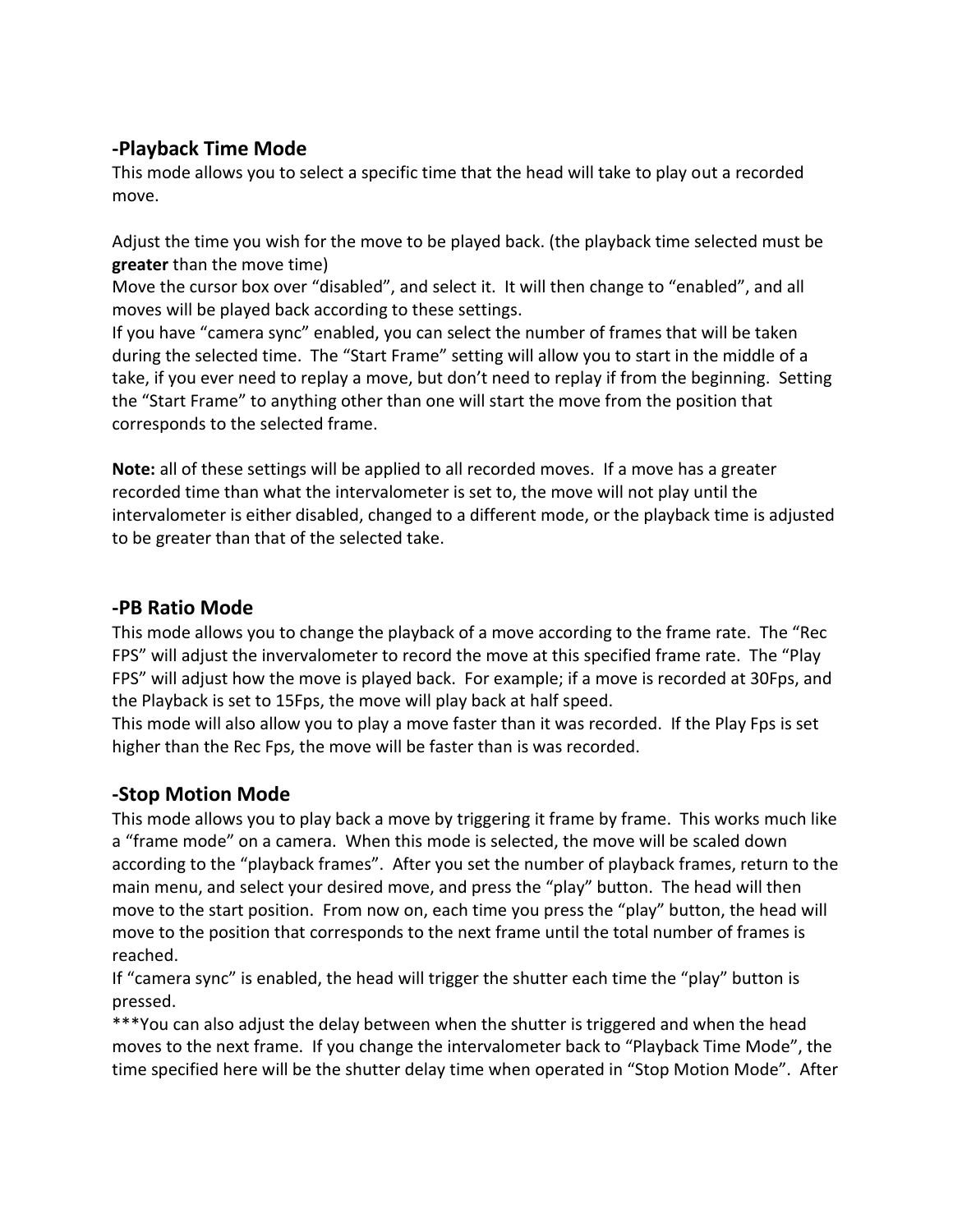### **-Playback Time Mode**

This mode allows you to select a specific time that the head will take to play out a recorded move.

Adjust the time you wish for the move to be played back. (the playback time selected must be **greater** than the move time)

Move the cursor box over "disabled", and select it. It will then change to "enabled", and all moves will be played back according to these settings.

If you have "camera sync" enabled, you can select the number of frames that will be taken during the selected time. The "Start Frame" setting will allow you to start in the middle of a take, if you ever need to replay a move, but don't need to replay if from the beginning. Setting the "Start Frame" to anything other than one will start the move from the position that corresponds to the selected frame.

**Note:** all of these settings will be applied to all recorded moves. If a move has a greater recorded time than what the intervalometer is set to, the move will not play until the intervalometer is either disabled, changed to a different mode, or the playback time is adjusted to be greater than that of the selected take.

### **-PB Ratio Mode**

This mode allows you to change the playback of a move according to the frame rate. The "Rec FPS" will adjust the invervalometer to record the move at this specified frame rate. The "Play FPS" will adjust how the move is played back. For example; if a move is recorded at 30Fps, and the Playback is set to 15Fps, the move will play back at half speed.

This mode will also allow you to play a move faster than it was recorded. If the Play Fps is set higher than the Rec Fps, the move will be faster than is was recorded.

### **-Stop Motion Mode**

This mode allows you to play back a move by triggering it frame by frame. This works much like a "frame mode" on a camera. When this mode is selected, the move will be scaled down according to the "playback frames". After you set the number of playback frames, return to the main menu, and select your desired move, and press the "play" button. The head will then move to the start position. From now on, each time you press the "play" button, the head will move to the position that corresponds to the next frame until the total number of frames is reached.

If "camera sync" is enabled, the head will trigger the shutter each time the "play" button is pressed.

\*\*\*You can also adjust the delay between when the shutter is triggered and when the head moves to the next frame. If you change the intervalometer back to "Playback Time Mode", the time specified here will be the shutter delay time when operated in "Stop Motion Mode". After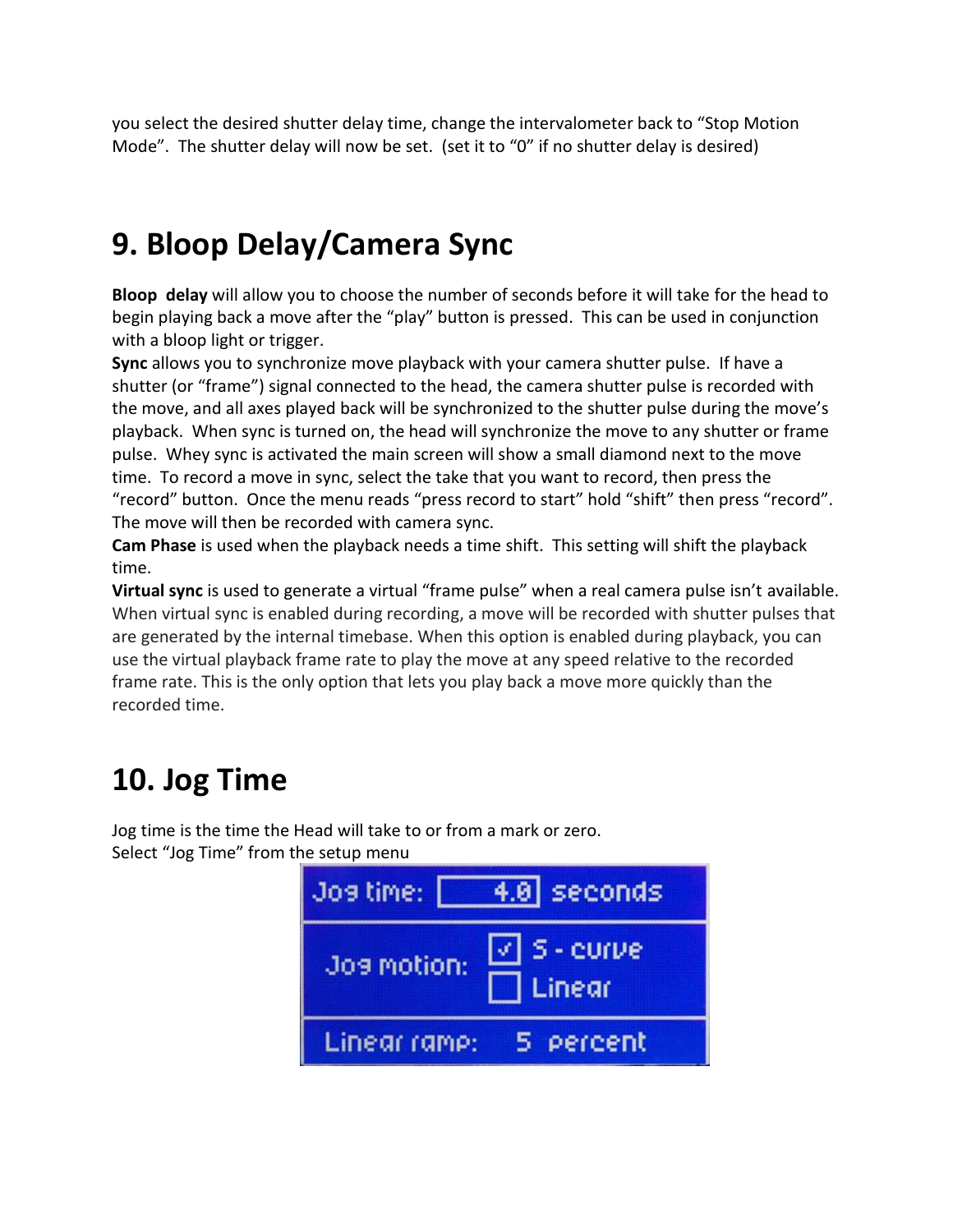you select the desired shutter delay time, change the intervalometer back to "Stop Motion Mode". The shutter delay will now be set. (set it to "0" if no shutter delay is desired)

# **9. Bloop Delay/Camera Sync**

**Bloop delay** will allow you to choose the number of seconds before it will take for the head to begin playing back a move after the "play" button is pressed. This can be used in conjunction with a bloop light or trigger.

**Sync** allows you to synchronize move playback with your camera shutter pulse. If have a shutter (or "frame") signal connected to the head, the camera shutter pulse is recorded with the move, and all axes played back will be synchronized to the shutter pulse during the move's playback. When sync is turned on, the head will synchronize the move to any shutter or frame pulse. Whey sync is activated the main screen will show a small diamond next to the move time. To record a move in sync, select the take that you want to record, then press the "record" button. Once the menu reads "press record to start" hold "shift" then press "record". The move will then be recorded with camera sync.

**Cam Phase** is used when the playback needs a time shift. This setting will shift the playback time.

**Virtual sync** is used to generate a virtual "frame pulse" when a real camera pulse isn't available. When virtual sync is enabled during recording, a move will be recorded with shutter pulses that are generated by the internal timebase. When this option is enabled during playback, you can use the virtual playback frame rate to play the move at any speed relative to the recorded frame rate. This is the only option that lets you play back a move more quickly than the recorded time.

# **10. Jog Time**

Jog time is the time the Head will take to or from a mark or zero. Select "Jog Time" from the setup menu

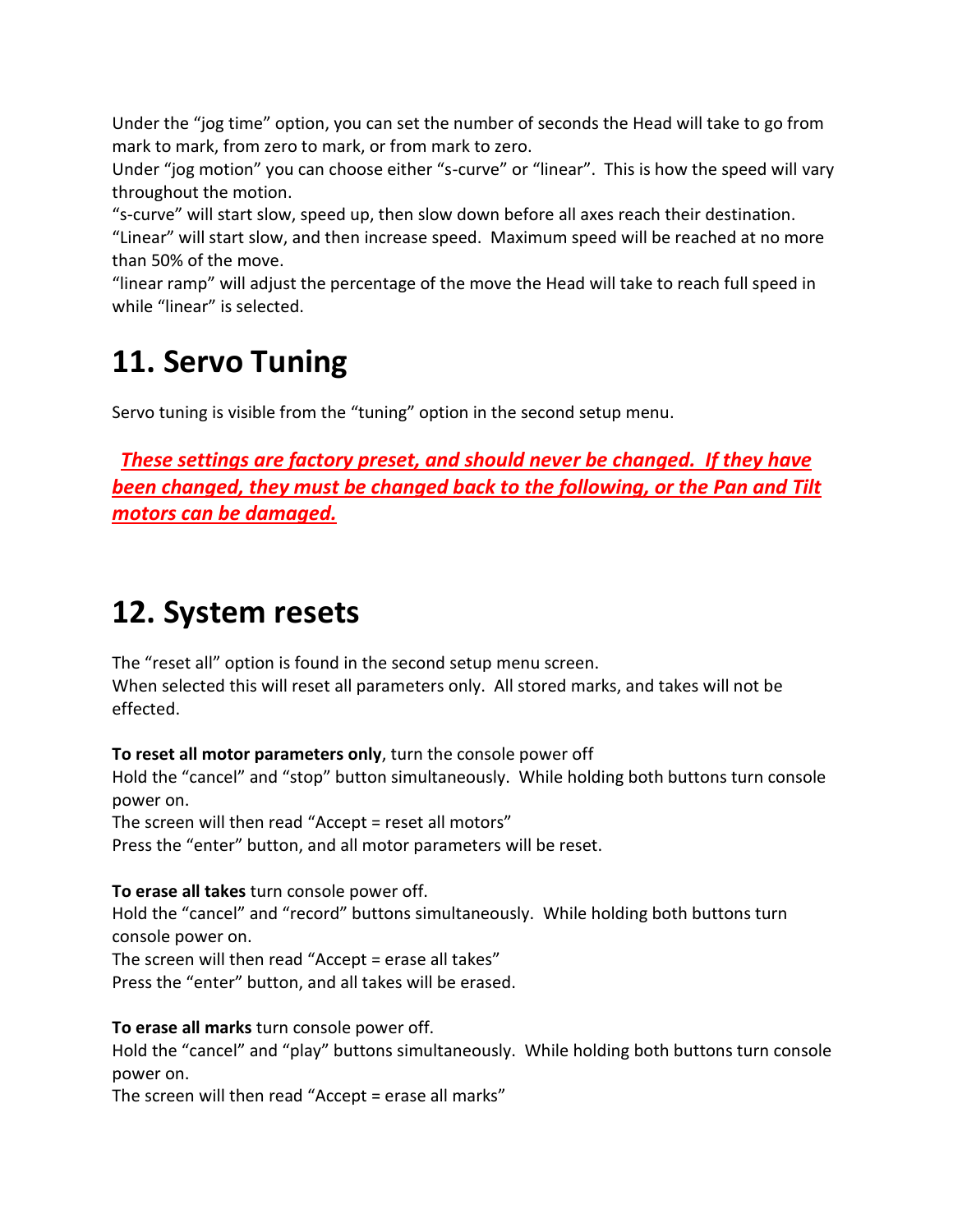Under the "jog time" option, you can set the number of seconds the Head will take to go from mark to mark, from zero to mark, or from mark to zero.

Under "jog motion" you can choose either "s-curve" or "linear". This is how the speed will vary throughout the motion.

"s-curve" will start slow, speed up, then slow down before all axes reach their destination. "Linear" will start slow, and then increase speed. Maximum speed will be reached at no more than 50% of the move.

"linear ramp" will adjust the percentage of the move the Head will take to reach full speed in while "linear" is selected.

### **11. Servo Tuning**

Servo tuning is visible from the "tuning" option in the second setup menu.

 *These settings are factory preset, and should never be changed. If they have been changed, they must be changed back to the following, or the Pan and Tilt motors can be damaged.*

# **12. System resets**

The "reset all" option is found in the second setup menu screen. When selected this will reset all parameters only. All stored marks, and takes will not be effected.

**To reset all motor parameters only**, turn the console power off

Hold the "cancel" and "stop" button simultaneously. While holding both buttons turn console power on.

The screen will then read "Accept = reset all motors"

Press the "enter" button, and all motor parameters will be reset.

**To erase all takes** turn console power off.

Hold the "cancel" and "record" buttons simultaneously. While holding both buttons turn console power on.

The screen will then read "Accept = erase all takes"

Press the "enter" button, and all takes will be erased.

**To erase all marks** turn console power off.

Hold the "cancel" and "play" buttons simultaneously. While holding both buttons turn console power on.

The screen will then read "Accept = erase all marks"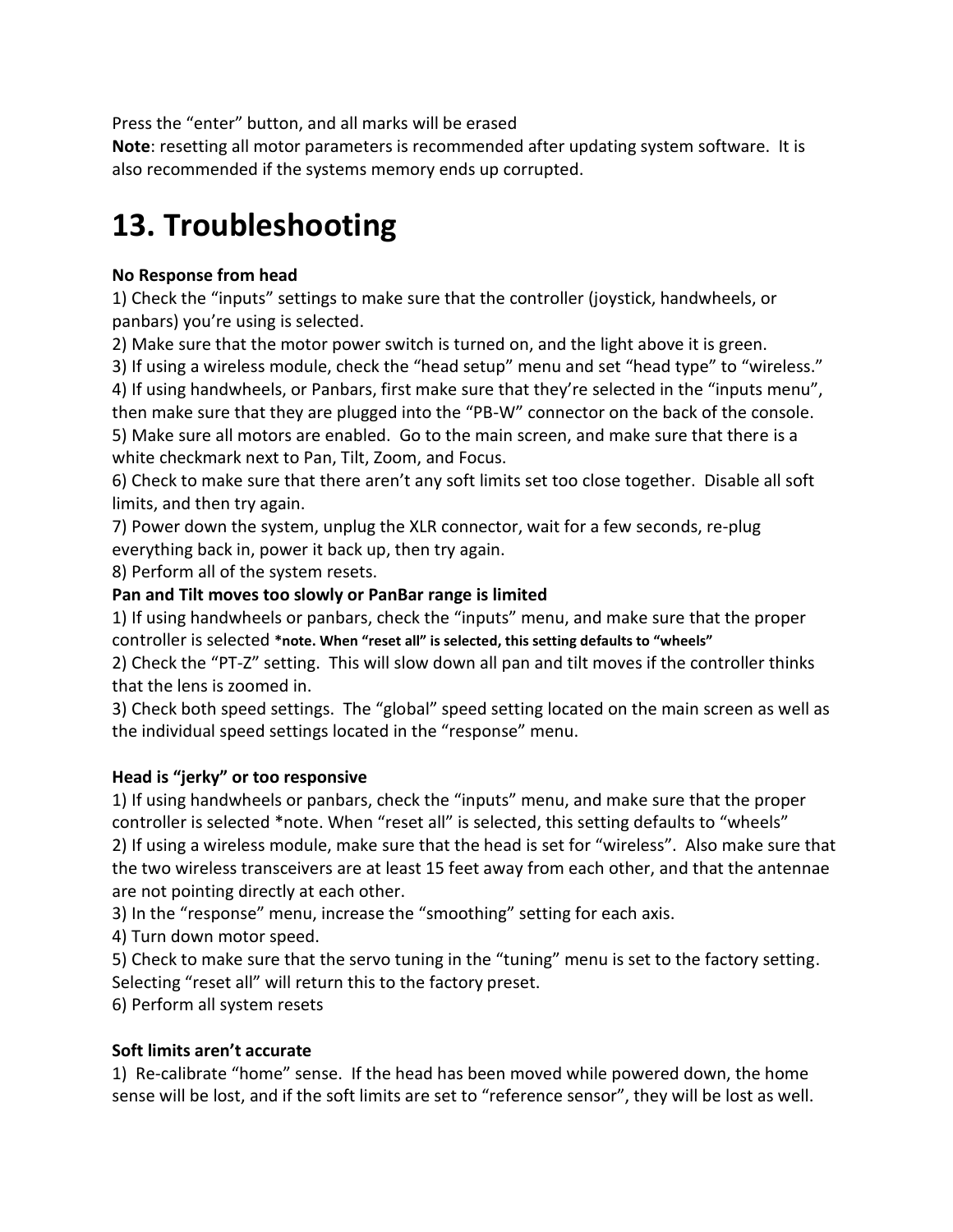Press the "enter" button, and all marks will be erased

**Note**: resetting all motor parameters is recommended after updating system software. It is also recommended if the systems memory ends up corrupted.

### **13. Troubleshooting**

#### **No Response from head**

1) Check the "inputs" settings to make sure that the controller (joystick, handwheels, or panbars) you're using is selected.

2) Make sure that the motor power switch is turned on, and the light above it is green.

3) If using a wireless module, check the "head setup" menu and set "head type" to "wireless."

4) If using handwheels, or Panbars, first make sure that they're selected in the "inputs menu", then make sure that they are plugged into the "PB-W" connector on the back of the console. 5) Make sure all motors are enabled. Go to the main screen, and make sure that there is a white checkmark next to Pan, Tilt, Zoom, and Focus.

6) Check to make sure that there aren't any soft limits set too close together. Disable all soft limits, and then try again.

7) Power down the system, unplug the XLR connector, wait for a few seconds, re-plug everything back in, power it back up, then try again.

8) Perform all of the system resets.

### **Pan and Tilt moves too slowly or PanBar range is limited**

1) If using handwheels or panbars, check the "inputs" menu, and make sure that the proper controller is selected **\*note. When "reset all" is selected, this setting defaults to "wheels"**

2) Check the "PT-Z" setting. This will slow down all pan and tilt moves if the controller thinks that the lens is zoomed in.

3) Check both speed settings. The "global" speed setting located on the main screen as well as the individual speed settings located in the "response" menu.

### **Head is "jerky" or too responsive**

1) If using handwheels or panbars, check the "inputs" menu, and make sure that the proper controller is selected \*note. When "reset all" is selected, this setting defaults to "wheels" 2) If using a wireless module, make sure that the head is set for "wireless". Also make sure that the two wireless transceivers are at least 15 feet away from each other, and that the antennae are not pointing directly at each other.

3) In the "response" menu, increase the "smoothing" setting for each axis.

4) Turn down motor speed.

5) Check to make sure that the servo tuning in the "tuning" menu is set to the factory setting. Selecting "reset all" will return this to the factory preset.

6) Perform all system resets

#### **Soft limits aren't accurate**

1) Re-calibrate "home" sense. If the head has been moved while powered down, the home sense will be lost, and if the soft limits are set to "reference sensor", they will be lost as well.